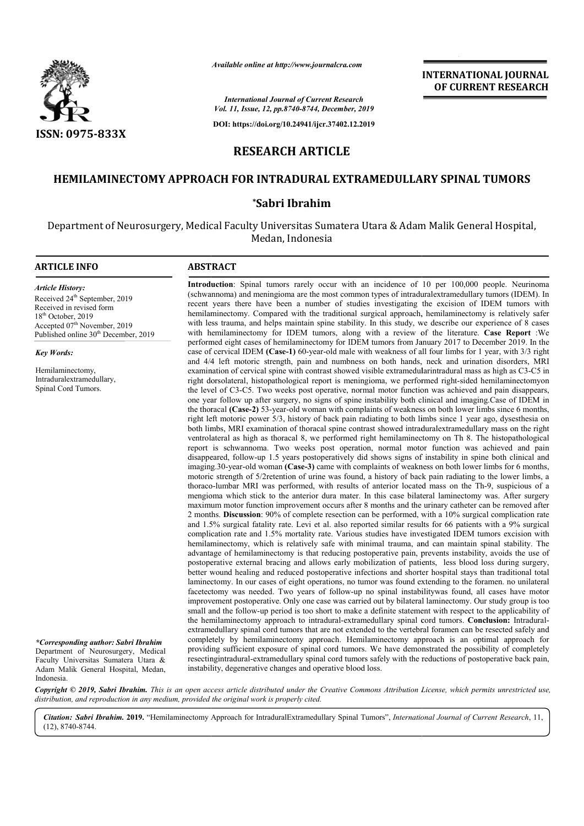

*Available online at http://www.journalcra.com*

**INTERNATIONAL JOURNAL OF CURRENT RESEARCH**

*International Journal of Current Research Vol. 11, Issue, 12, pp.8740-8744, December, 2019*

**DOI: https://doi.org/10.24941/ijcr.37402.12.2019**

# **RESEARCH ARTICLE**

## **HEMILAMINECTOMY APPROACH FOR INTRADURAL EXTRAMEDULLARY SPINAL TUMORS**

### **\*Sabri Ibrahim**

Department of Neurosurgery, Medical Faculty Universitas Sumatera Utara & Adam Malik General Hospital, Medan, Indonesia

#### **ARTICLE INFO ABSTRACT**

*Article History:* Received 24<sup>th</sup> September, 2019 Received in revised form 18th October, 2019 Accepted 07<sup>th</sup> November, 2019 Published online 30<sup>th</sup> December, 2019

*Key Words:*

Hemilaminectomy, Intraduralextramedullary, Spinal Cord Tumors.

*\*Corresponding author: Sabri Ibrahim* Department of Neurosurgery, Medical Faculty Universitas Sumatera Utara & Adam Malik General Hospital, Medan, Indonesia.

**Introduction** : Spinal tumors rarely occur with an incidence of 10 per 100,000 people. Neurinoma (schwannoma) and meningioma are the most common types of intraduralextramedullary tumors (IDEM). In recent years there have been a number of studies investigating the excision of IDEM tumors with hemilaminectomy. Compared with the traditional surgical approach, hemilaminectomy is relatively safer Introduction: Spinal tumors rarely occur with an incidence of 10 per 100,000 people. Neurinoma (schwannoma) and meningioma are the most common types of intraduralextramedullary tumors (IDEM). In recent years there have bee with hemilaminectomy for IDEM tumors, along with a review of the literature. Case Report :We performed eight cases of hemilaminectomy for IDEM tumors from January 2017 to December 2019. In the case of cervical IDEM **(Case-1)** 60-year-old male with weakness of all four limbs for 1 year, with 3/3 right and 4/4 left motoric strength, pain and numbness on both hands, neck and urination disorders, MRI performed eight cases of hemilaminectomy for IDEM tumors from January 2017 to December 2019. In the case of cervical IDEM (Case-1) 60-year-old male with weakness of all four limbs for 1 year, with 3/3 right and 4/4 left mo right dorsolateral, histopathological report is meningioma, we performed right-sided hemilaminectomyon the level of C3 C3-C5. Two weeks post operative, normal motor function was achieved and pain disappears, the level of C3-C5. Two weeks post operative, normal motor function was achieved and pain disappears, one year follow up after surgery, no signs of spine instability both clinical and imaging.Case of IDEM in the thoracal **(Case-2)** 53-year-old woman with complaints of weakness on both lower limbs since 6 months, the thoracal (Case-2) 53-year-old woman with complaints of weakness on both lower limbs since 6 months, right left motoric power 5/3, history of back pain radiating to both limbs since 1 year ago, dysesthesia on both limbs, MRI examination of thoracal spine contrast showed intraduralextramedullary mass on the right ventrolateral as high as thoracal 8, we performed right hemilaminectomy on Th 8. The histopathological report is schwannoma. Two weeks post operation, normal motor function was achieved and pain disappeared, follow-up 1.5 years postoperatively did shows signs of instability in spine both clinical and imaging.30-year-old woman (Case-3) came with complaints of weakness on both lower limbs for 6 months, motoric strength of 5/2retention of urine was found, a history of back pain radiating to the lower limbs, a motoric strength of 5/2 retention of urine was found, a history of back pain radiating to the lower limbs, a thoraco-lumbar MRI was performed, with results of anterior located mass on the Th-9, suspicious of a mengioma which stick to the anterior dura mater. In this case bilateral laminectomy was. After surgery maximum motor function improvement occurs after 8 months and the urinary catheter can be removed after 2 months. **Discussion**: 90% of complete resection can be performed, with a 10% surgical co and 1.5% surgical fatality rate. Levi et al. also reported similar results for 66 patients with a 9% surgical complication rate and 1.5% mortality rate. Various studies have investigated IDEM tumors excision with hemilaminectomy, which is relatively safe with minimal trauma, and can maintain spinal stability. The advantage of hemilaminectomy is that reducing postoperative pain, prevents instability, avoids the use of and 1.5% surgical fatality rate. Levi et al. also reported similar results for 66 patients with a 9% surgical<br>complication rate and 1.5% mortality rate. Various studies have investigated IDEM tumors excision with<br>hemilamin better wound healing and reduced postoperative infections and shorter hospital stays than traditional total laminectomy. In our cases of eight operations, no tumor was found extending to the foramen. no unilateral facetectom facetectomy was needed. Two years of follow-up no spinal instabilitywas found, all cases have motor improvement postoperative. Only one case was carried out by bilateral laminectomy. Our study group is too small and the follow-up period is too short to make a definite statement with respect to the applicability of the hemilaminectomy approach to intradural-extramedullary spinal cord tumors. extramedullary spinal cord tumors that are not extended to the vertebral foramen can be resected safely and completely by hemilaminectomy approach. Hemilaminectomy approach is an optimal approach for providing sufficient exposure of spinal cord tumors. We have demonstrated the possibility of completely providing sufficient exposure of spinal cord tumors. We have demonstrated the possibility of completely resecting<br>intradural-extramedullary spinal cord tumors safely with the reductions of postoperative back pain, instability, degenerative changes and operative blood loss. both limbs, MRI examination of thoracal spine contrast showed intraduralextramedullary mass on the r<br>ventrolateral as high as thoracal 8, we performed right hemilaminectomy on Th 8. The histopatholog<br>report is schwannoma. mengioma which stick to the anterior dura mater. In this case bilateral laminectomy was. After surgery maximum motor function improvement occurs after 8 months and the urinary catheter can be removed after 2 months. Discus better wound healing and reduced postoperative infections and shorter hospital stays than traditional total laminectomy. In our cases of eight operations, no tumor was found extending to the foramen. no unilateral facetect

Copyright © 2019, Sabri Ibrahim. This is an open access article distributed under the Creative Commons Attribution License, which permits unrestricted use, *distribution, and reproduction in any medium, provided the original work is properly cited.*

Citation: Sabri Ibrahim. 2019. "Hemilaminectomy Approach for IntraduralExtramedullary Spinal Tumors", International Journal of Current Research, 11, (12), 8740-8744.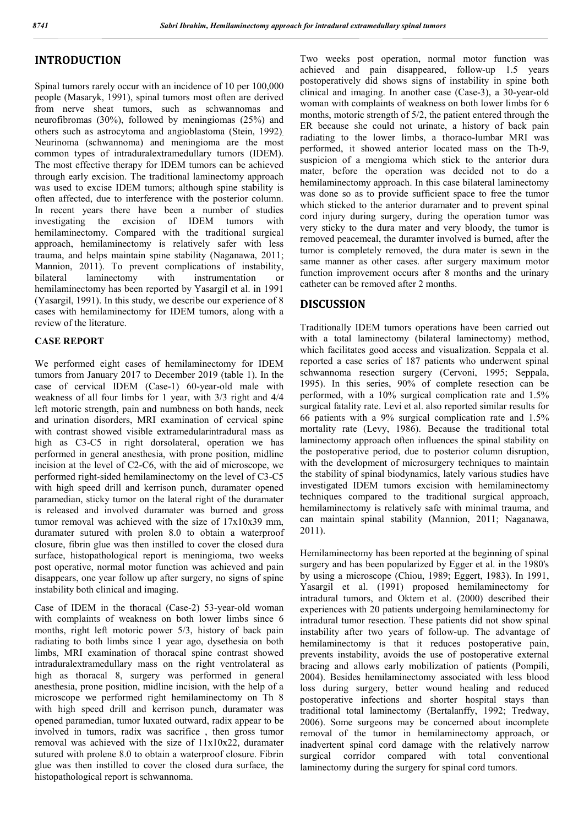## **INTRODUCTION**

Spinal tumors rarely occur with an incidence of 10 per 100,000 people (Masaryk, 1991), spinal tumors most often are derived from nerve sheat tumors, such as schwannomas and neurofibromas (30%), followed by meningiomas (25%) and others such as astrocytoma and angioblastoma (Stein, 1992). Neurinoma (schwannoma) and meningioma are the most common types of intraduralextramedullary tumors (IDEM). The most effective therapy for IDEM tumors can be achieved through early excision. The traditional laminectomy approach was used to excise IDEM tumors; although spine stability is often affected, due to interference with the posterior column. In recent years there have been a number of studies investigating the excision of IDEM tumors with hemilaminectomy. Compared with the traditional surgical approach, hemilaminectomy is relatively safer with less trauma, and helps maintain spine stability (Naganawa, 2011; Mannion, 2011). To prevent complications of instability, bilateral laminectomy with instrumentation or hemilaminectomy has been reported by Yasargil et al. in 1991 (Yasargil, 1991). In this study, we describe our experience of 8 cases with hemilaminectomy for IDEM tumors, along with a review of the literature.

#### **CASE REPORT**

We performed eight cases of hemilaminectomy for IDEM tumors from January 2017 to December 2019 (table 1). In the case of cervical IDEM (Case-1) 60-year-old male with weakness of all four limbs for 1 year, with 3/3 right and 4/4 left motoric strength, pain and numbness on both hands, neck and urination disorders, MRI examination of cervical spine with contrast showed visible extramedularintradural mass as high as C3-C5 in right dorsolateral, operation we has performed in general anesthesia, with prone position, midline incision at the level of C2-C6, with the aid of microscope, we performed right-sided hemilaminectomy on the level of C3-C5 with high speed drill and kerrison punch, duramater opened paramedian, sticky tumor on the lateral right of the duramater is released and involved duramater was burned and gross tumor removal was achieved with the size of 17x10x39 mm, duramater sutured with prolen 8.0 to obtain a waterproof closure, fibrin glue was then instilled to cover the closed dura surface, histopathological report is meningioma, two weeks post operative, normal motor function was achieved and pain disappears, one year follow up after surgery, no signs of spine instability both clinical and imaging.

Case of IDEM in the thoracal (Case-2) 53-year-old woman with complaints of weakness on both lower limbs since 6 months, right left motoric power 5/3, history of back pain radiating to both limbs since 1 year ago, dysethesia on both limbs, MRI examination of thoracal spine contrast showed intraduralextramedullary mass on the right ventrolateral as high as thoracal 8, surgery was performed in general anesthesia, prone position, midline incision, with the help of a microscope we performed right hemilaminectomy on Th 8 with high speed drill and kerrison punch, duramater was opened paramedian, tumor luxated outward, radix appear to be involved in tumors, radix was sacrifice , then gross tumor removal was achieved with the size of 11x10x22, duramater sutured with prolene 8.0 to obtain a waterproof closure. Fibrin glue was then instilled to cover the closed dura surface, the histopathological report is schwannoma.

Two weeks post operation, normal motor function was achieved and pain disappeared, follow-up 1.5 years postoperatively did shows signs of instability in spine both clinical and imaging. In another case (Case-3), a 30-year-old woman with complaints of weakness on both lower limbs for 6 months, motoric strength of 5/2, the patient entered through the ER because she could not urinate, a history of back pain radiating to the lower limbs, a thoraco-lumbar MRI was performed, it showed anterior located mass on the Th-9, suspicion of a mengioma which stick to the anterior dura mater, before the operation was decided not to do a hemilaminectomy approach. In this case bilateral laminectomy was done so as to provide sufficient space to free the tumor which sticked to the anterior duramater and to prevent spinal cord injury during surgery, during the operation tumor was very sticky to the dura mater and very bloody, the tumor is removed peacemeal, the duramter involved is burned, after the tumor is completely removed, the dura mater is sewn in the same manner as other cases. after surgery maximum motor function improvement occurs after 8 months and the urinary catheter can be removed after 2 months.

#### **DISCUSSION**

Traditionally IDEM tumors operations have been carried out with a total laminectomy (bilateral laminectomy) method, which facilitates good access and visualization. Seppala et al. reported a case series of 187 patients who underwent spinal schwannoma resection surgery (Cervoni, 1995; Seppala, 1995). In this series, 90% of complete resection can be performed, with a 10% surgical complication rate and 1.5% surgical fatality rate. Levi et al. also reported similar results for 66 patients with a 9% surgical complication rate and 1.5% mortality rate (Levy, 1986). Because the traditional total laminectomy approach often influences the spinal stability on the postoperative period, due to posterior column disruption, with the development of microsurgery techniques to maintain the stability of spinal biodynamics, lately various studies have investigated IDEM tumors excision with hemilaminectomy techniques compared to the traditional surgical approach, hemilaminectomy is relatively safe with minimal trauma, and can maintain spinal stability (Mannion, 2011; Naganawa, 2011).

Hemilaminectomy has been reported at the beginning of spinal surgery and has been popularized by Egger et al. in the 1980's by using a microscope (Chiou, 1989; Eggert, 1983). In 1991, Yasargil et al. (1991) proposed hemilaminectomy for intradural tumors, and Oktem et al. (2000) described their experiences with 20 patients undergoing hemilaminectomy for intradural tumor resection. These patients did not show spinal instability after two years of follow-up. The advantage of hemilaminectomy is that it reduces postoperative pain, prevents instability, avoids the use of postoperative external bracing and allows early mobilization of patients (Pompili, 2004). Besides hemilaminectomy associated with less blood loss during surgery, better wound healing and reduced postoperative infections and shorter hospital stays than traditional total laminectomy (Bertalanffy, 1992; Tredway, 2006). Some surgeons may be concerned about incomplete removal of the tumor in hemilaminectomy approach, or inadvertent spinal cord damage with the relatively narrow surgical corridor compared with total conventional laminectomy during the surgery for spinal cord tumors.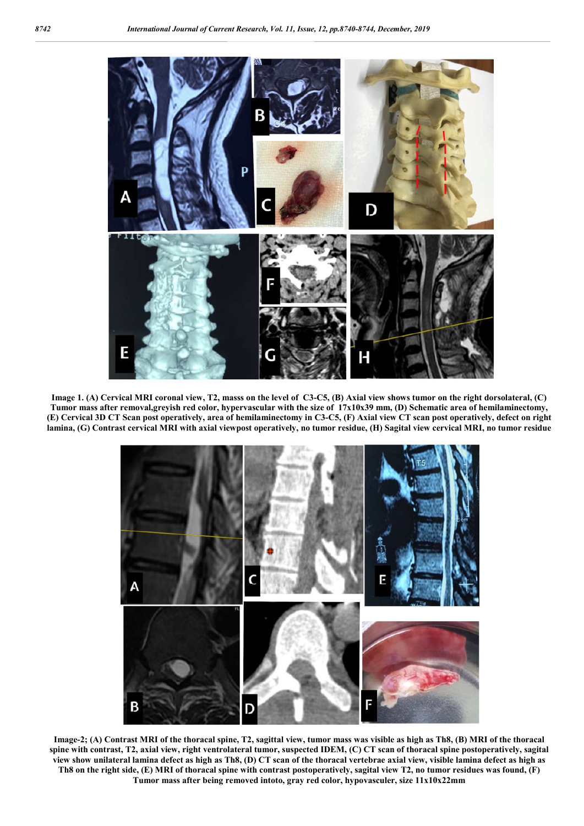

**Image 1. (A) Cervical MRI coronal view, T2, masss on the level of C3-C5, (B) Axial view shows tumor on the right dorsolateral, (C) Tumor mass after removal,greyish red color, hypervascular with the size of 17x10x39 mm, (D) Schematic area of hemilaminectomy, (E) Cervical 3D CT Scan post operatively, area of hemilaminectomy in C3-C5, (F) Axial view CT scan post operatively, defect on right lamina, (G) Contrast cervical MRI with axial viewpost operatively, no tumor residue, (H) Sagital view cervical MRI, no tumor residue**



**Image-2; (A) Contrast MRI of the thoracal spine, T2, sagittal view, tumor mass was visible as high as Th8, (B) MRI of the thoracal spine with contrast, T2, axial view, right ventrolateral tumor, suspected IDEM, (C) CT scan of thoracal spine postoperatively, sagital view show unilateral lamina defect as high as Th8, (D) CT scan of the thoracal vertebrae axial view, visible lamina defect as high as Th8 on the right side, (E) MRI of thoracal spine with contrast postoperatively, sagital view T2, no tumor residues was found, (F) Tumor mass after being removed intoto, gray red color, hypovasculer, size 11x10x22mm**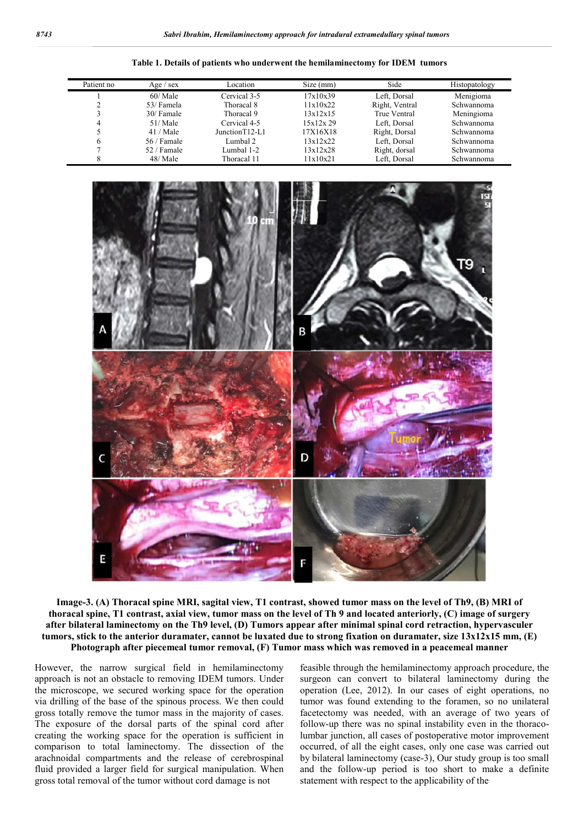| Table 1. Details of patients who underwent the hemilaminectomy for IDEM tumors |  |  |  |  |  |
|--------------------------------------------------------------------------------|--|--|--|--|--|
|--------------------------------------------------------------------------------|--|--|--|--|--|

| Patient no | Age $/$ sex  | Location        | Size (mm) | Side           | Histopatology |
|------------|--------------|-----------------|-----------|----------------|---------------|
|            | 60/Male      | Cervical 3-5    | 17x10x39  | Left, Dorsal   | Menigioma     |
|            | 53/ Famela   | Thoracal 8      | 11x10x22  | Right, Ventral | Schwannoma    |
|            | 30/ Famale   | Thoracal 9      | 13x12x15  | True Ventral   | Meningioma    |
| 4          | 51/Male      | Cervical 4-5    | 15x12x29  | Left, Dorsal   | Schwannoma    |
|            | 41 / Male    | Junction T12-L1 | 17X16X18  | Right, Dorsal  | Schwannoma    |
|            | $56/$ Famale | Lumbal 2        | 13x12x22  | Left, Dorsal   | Schwannoma    |
|            | 52 / Famale  | Lumbal 1-2      | 13x12x28  | Right, dorsal  | Schwannoma    |
|            | 48/ Male     | Thoracal 11     | 11x10x21  | Left. Dorsal   | Schwannoma    |



**Image-3. (A) Thoracal spine MRI, sagital view, T1 contrast, showed tumor mass on the level of Th9, (B) MRI of thoracal spine, T1 contrast, axial view, tumor mass on the level of Th 9 and located anteriorly, (C) image of surgery after bilateral laminectomy on the Th9 level, (D) Tumors appear after minimal spinal cord retraction, hypervasculer tumors, stick to the anterior duramater, cannot be luxated due to strong fixation on duramater, size 13x12x15 mm, (E) Photograph after piecemeal tumor removal, (F) Tumor mass which was removed in a peacemeal manner**

However, the narrow surgical field in hemilaminectomy approach is not an obstacle to removing IDEM tumors. Under the microscope, we secured working space for the operation via drilling of the base of the spinous process. We then could gross totally remove the tumor mass in the majority of cases. The exposure of the dorsal parts of the spinal cord after creating the working space for the operation is sufficient in comparison to total laminectomy. The dissection of the arachnoidal compartments and the release of cerebrospinal fluid provided a larger field for surgical manipulation. When gross total removal of the tumor without cord damage is not

feasible through the hemilaminectomy approach procedure, the surgeon can convert to bilateral laminectomy during the operation (Lee, 2012). In our cases of eight operations, no tumor was found extending to the foramen, so no unilateral facetectomy was needed, with an average of two years of follow-up there was no spinal instability even in the thoracolumbar junction, all cases of postoperative motor improvement occurred, of all the eight cases, only one case was carried out by bilateral laminectomy (case-3), Our study group is too small and the follow-up period is too short to make a definite statement with respect to the applicability of the